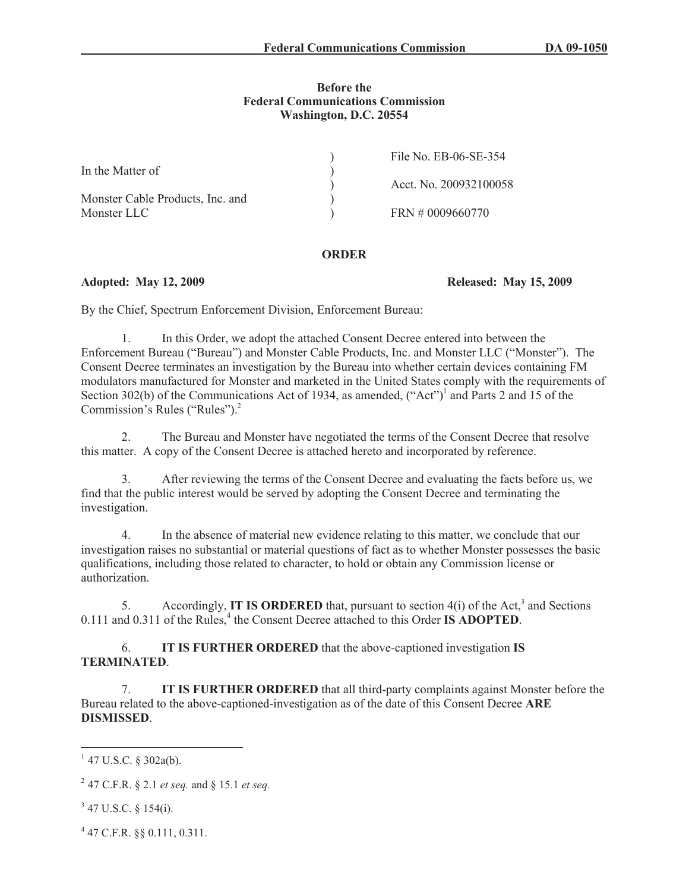### **Before the Federal Communications Commission Washington, D.C. 20554**

|                                  | File No. EB-06-SE-354  |
|----------------------------------|------------------------|
| In the Matter of                 |                        |
|                                  | Acct. No. 200932100058 |
| Monster Cable Products, Inc. and |                        |
| Monster LLC                      | FRN # 0009660770       |

## **ORDER**

**Adopted: May 12, 2009 Released: May 15, 2009**

By the Chief, Spectrum Enforcement Division, Enforcement Bureau:

1. In this Order, we adopt the attached Consent Decree entered into between the Enforcement Bureau ("Bureau") and Monster Cable Products, Inc. and Monster LLC ("Monster"). The Consent Decree terminates an investigation by the Bureau into whether certain devices containing FM modulators manufactured for Monster and marketed in the United States comply with the requirements of Section 302(b) of the Communications Act of 1934, as amended,  $("Act")^1$  and Parts 2 and 15 of the Commission's Rules ("Rules").<sup>2</sup>

2. The Bureau and Monster have negotiated the terms of the Consent Decree that resolve this matter. A copy of the Consent Decree is attached hereto and incorporated by reference.

3. After reviewing the terms of the Consent Decree and evaluating the facts before us, we find that the public interest would be served by adopting the Consent Decree and terminating the investigation.

4. In the absence of material new evidence relating to this matter, we conclude that our investigation raises no substantial or material questions of fact as to whether Monster possesses the basic qualifications, including those related to character, to hold or obtain any Commission license or authorization.

5. Accordingly, **IT IS ORDERED** that, pursuant to section 4(i) of the Act,<sup>3</sup> and Sections 0.111 and 0.311 of the Rules,<sup>4</sup> the Consent Decree attached to this Order **IS ADOPTED**.

6. **IT IS FURTHER ORDERED** that the above-captioned investigation **IS TERMINATED**.

7. **IT IS FURTHER ORDERED** that all third-party complaints against Monster before the Bureau related to the above-captioned-investigation as of the date of this Consent Decree **ARE DISMISSED**.

 $1$  47 U.S.C. § 302a(b).

<sup>2</sup> 47 C.F.R. § 2.1 *et seq.* and § 15.1 *et seq.*

 $3$  47 U.S.C. § 154(i).

<sup>4</sup> 47 C.F.R. §§ 0.111, 0.311.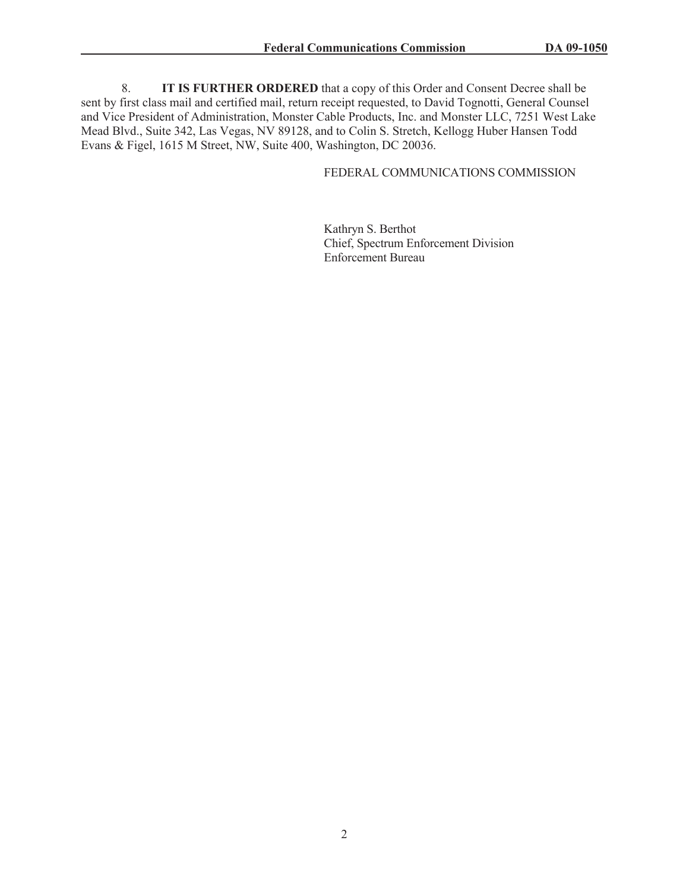8. **IT IS FURTHER ORDERED** that a copy of this Order and Consent Decree shall be sent by first class mail and certified mail, return receipt requested, to David Tognotti, General Counsel and Vice President of Administration, Monster Cable Products, Inc. and Monster LLC, 7251 West Lake Mead Blvd., Suite 342, Las Vegas, NV 89128, and to Colin S. Stretch, Kellogg Huber Hansen Todd Evans & Figel, 1615 M Street, NW, Suite 400, Washington, DC 20036.

## FEDERAL COMMUNICATIONS COMMISSION

Kathryn S. Berthot Chief, Spectrum Enforcement Division Enforcement Bureau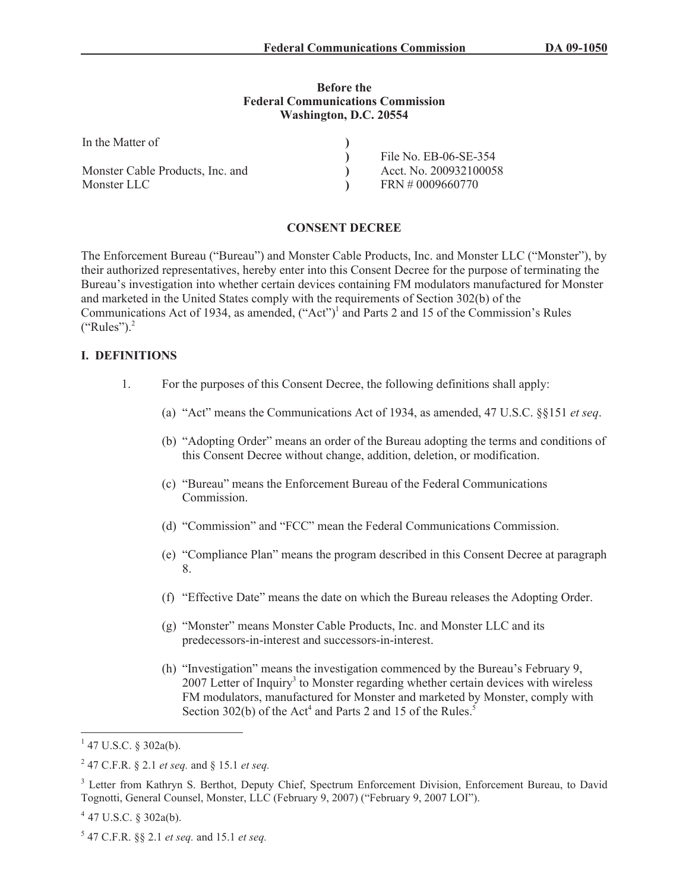#### **Before the Federal Communications Commission Washington, D.C. 20554**

| In the Matter of                 |                        |
|----------------------------------|------------------------|
|                                  | File No. EB-06-SE-354  |
| Monster Cable Products, Inc. and | Acct. No. 200932100058 |
| Monster LLC                      | FRN # 0009660770       |

### **CONSENT DECREE**

The Enforcement Bureau ("Bureau") and Monster Cable Products, Inc. and Monster LLC ("Monster"), by their authorized representatives, hereby enter into this Consent Decree for the purpose of terminating the Bureau's investigation into whether certain devices containing FM modulators manufactured for Monster and marketed in the United States comply with the requirements of Section 302(b) of the Communications Act of 1934, as amended, ("Act")<sup>1</sup> and Parts 2 and 15 of the Commission's Rules  $({}^\circ$ Rules").<sup>2</sup>

## **I. DEFINITIONS**

- 1. For the purposes of this Consent Decree, the following definitions shall apply:
	- (a) "Act" means the Communications Act of 1934, as amended, 47 U.S.C. §§151 *et seq*.
	- (b) "Adopting Order" means an order of the Bureau adopting the terms and conditions of this Consent Decree without change, addition, deletion, or modification.
	- (c) "Bureau" means the Enforcement Bureau of the Federal Communications **Commission**
	- (d) "Commission" and "FCC" mean the Federal Communications Commission.
	- (e) "Compliance Plan" means the program described in this Consent Decree at paragraph 8.
	- (f) "Effective Date" means the date on which the Bureau releases the Adopting Order.
	- (g) "Monster" means Monster Cable Products, Inc. and Monster LLC and its predecessors-in-interest and successors-in-interest.
	- (h) "Investigation" means the investigation commenced by the Bureau's February 9, 2007 Letter of Inquiry<sup>3</sup> to Monster regarding whether certain devices with wireless FM modulators, manufactured for Monster and marketed by Monster, comply with Section 302(b) of the Act<sup>4</sup> and Parts 2 and 15 of the Rules.<sup>5</sup>

 $1$  47 U.S.C. § 302a(b).

<sup>2</sup> 47 C.F.R. § 2.1 *et seq.* and § 15.1 *et seq.*

<sup>&</sup>lt;sup>3</sup> Letter from Kathryn S. Berthot, Deputy Chief, Spectrum Enforcement Division, Enforcement Bureau, to David Tognotti, General Counsel, Monster, LLC (February 9, 2007) ("February 9, 2007 LOI").

 $4$  47 U.S.C. § 302a(b).

<sup>5</sup> 47 C.F.R. §§ 2.1 *et seq.* and 15.1 *et seq.*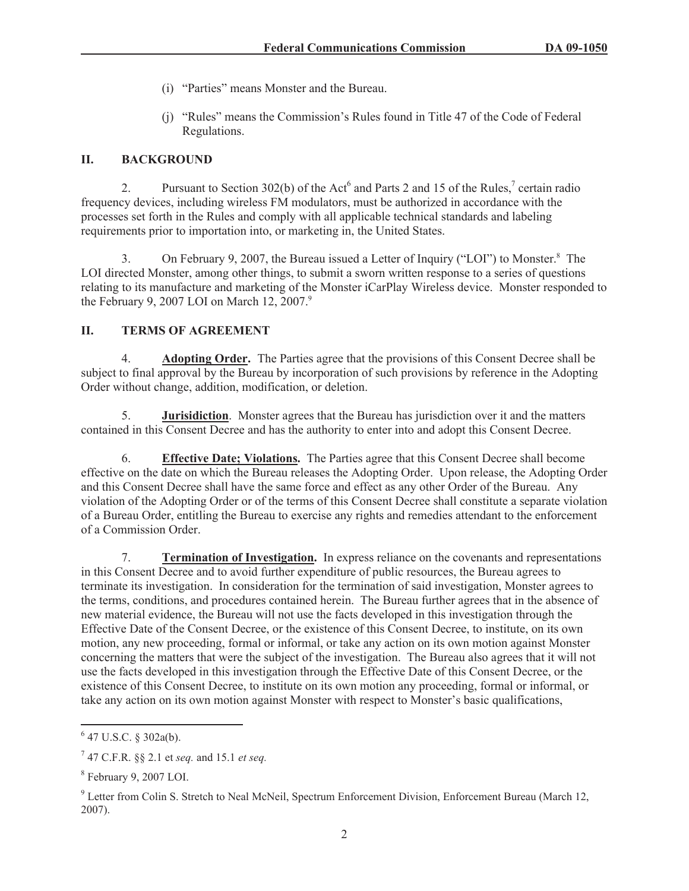- (i) "Parties" means Monster and the Bureau.
- (j) "Rules" means the Commission's Rules found in Title 47 of the Code of Federal Regulations.

## **II. BACKGROUND**

2. Pursuant to Section 302(b) of the Act<sup>6</sup> and Parts 2 and 15 of the Rules,<sup>7</sup> certain radio frequency devices, including wireless FM modulators, must be authorized in accordance with the processes set forth in the Rules and comply with all applicable technical standards and labeling requirements prior to importation into, or marketing in, the United States.

3. On February 9, 2007, the Bureau issued a Letter of Inquiry ("LOI") to Monster.<sup>8</sup> The LOI directed Monster, among other things, to submit a sworn written response to a series of questions relating to its manufacture and marketing of the Monster iCarPlay Wireless device. Monster responded to the February 9, 2007 LOI on March 12, 2007. $9$ 

# **II. TERMS OF AGREEMENT**

4. **Adopting Order.** The Parties agree that the provisions of this Consent Decree shall be subject to final approval by the Bureau by incorporation of such provisions by reference in the Adopting Order without change, addition, modification, or deletion.

5. **Jurisidiction**. Monster agrees that the Bureau has jurisdiction over it and the matters contained in this Consent Decree and has the authority to enter into and adopt this Consent Decree.

6. **Effective Date; Violations.** The Parties agree that this Consent Decree shall become effective on the date on which the Bureau releases the Adopting Order. Upon release, the Adopting Order and this Consent Decree shall have the same force and effect as any other Order of the Bureau. Any violation of the Adopting Order or of the terms of this Consent Decree shall constitute a separate violation of a Bureau Order, entitling the Bureau to exercise any rights and remedies attendant to the enforcement of a Commission Order.

7. **Termination of Investigation.** In express reliance on the covenants and representations in this Consent Decree and to avoid further expenditure of public resources, the Bureau agrees to terminate its investigation. In consideration for the termination of said investigation, Monster agrees to the terms, conditions, and procedures contained herein. The Bureau further agrees that in the absence of new material evidence, the Bureau will not use the facts developed in this investigation through the Effective Date of the Consent Decree, or the existence of this Consent Decree, to institute, on its own motion, any new proceeding, formal or informal, or take any action on its own motion against Monster concerning the matters that were the subject of the investigation. The Bureau also agrees that it will not use the facts developed in this investigation through the Effective Date of this Consent Decree, or the existence of this Consent Decree, to institute on its own motion any proceeding, formal or informal, or take any action on its own motion against Monster with respect to Monster's basic qualifications,

 $6$  47 U.S.C. § 302a(b).

<sup>7</sup> 47 C.F.R. §§ 2.1 et *seq.* and 15.1 *et seq.*

 $8$  February 9, 2007 LOI.

<sup>&</sup>lt;sup>9</sup> Letter from Colin S. Stretch to Neal McNeil, Spectrum Enforcement Division, Enforcement Bureau (March 12, 2007).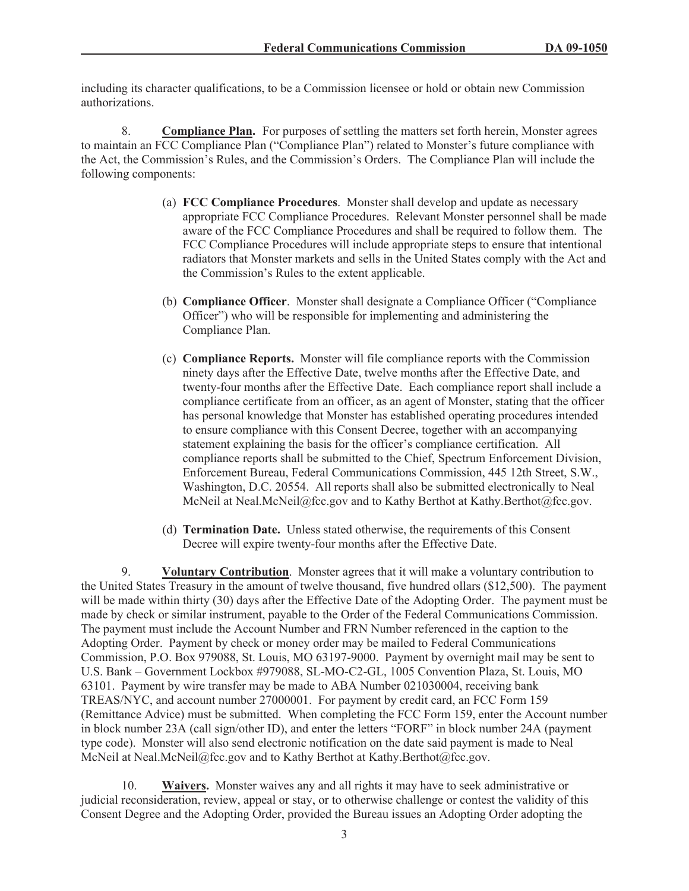including its character qualifications, to be a Commission licensee or hold or obtain new Commission authorizations.

8. **Compliance Plan.** For purposes of settling the matters set forth herein, Monster agrees to maintain an FCC Compliance Plan ("Compliance Plan") related to Monster's future compliance with the Act, the Commission's Rules, and the Commission's Orders. The Compliance Plan will include the following components:

- (a) **FCC Compliance Procedures**. Monster shall develop and update as necessary appropriate FCC Compliance Procedures. Relevant Monster personnel shall be made aware of the FCC Compliance Procedures and shall be required to follow them. The FCC Compliance Procedures will include appropriate steps to ensure that intentional radiators that Monster markets and sells in the United States comply with the Act and the Commission's Rules to the extent applicable.
- (b) **Compliance Officer**. Monster shall designate a Compliance Officer ("Compliance Officer") who will be responsible for implementing and administering the Compliance Plan.
- (c) **Compliance Reports.** Monster will file compliance reports with the Commission ninety days after the Effective Date, twelve months after the Effective Date, and twenty-four months after the Effective Date. Each compliance report shall include a compliance certificate from an officer, as an agent of Monster, stating that the officer has personal knowledge that Monster has established operating procedures intended to ensure compliance with this Consent Decree, together with an accompanying statement explaining the basis for the officer's compliance certification. All compliance reports shall be submitted to the Chief, Spectrum Enforcement Division, Enforcement Bureau, Federal Communications Commission, 445 12th Street, S.W., Washington, D.C. 20554. All reports shall also be submitted electronically to Neal McNeil at Neal.McNeil@fcc.gov and to Kathy Berthot at Kathy.Berthot@fcc.gov.
- (d) **Termination Date.** Unless stated otherwise, the requirements of this Consent Decree will expire twenty-four months after the Effective Date.

9. **Voluntary Contribution**. Monster agrees that it will make a voluntary contribution to the United States Treasury in the amount of twelve thousand, five hundred ollars (\$12,500). The payment will be made within thirty (30) days after the Effective Date of the Adopting Order. The payment must be made by check or similar instrument, payable to the Order of the Federal Communications Commission. The payment must include the Account Number and FRN Number referenced in the caption to the Adopting Order. Payment by check or money order may be mailed to Federal Communications Commission, P.O. Box 979088, St. Louis, MO 63197-9000. Payment by overnight mail may be sent to U.S. Bank – Government Lockbox #979088, SL-MO-C2-GL, 1005 Convention Plaza, St. Louis, MO 63101. Payment by wire transfer may be made to ABA Number 021030004, receiving bank TREAS/NYC, and account number 27000001. For payment by credit card, an FCC Form 159 (Remittance Advice) must be submitted. When completing the FCC Form 159, enter the Account number in block number 23A (call sign/other ID), and enter the letters "FORF" in block number 24A (payment type code). Monster will also send electronic notification on the date said payment is made to Neal McNeil at Neal.McNeil@fcc.gov and to Kathy Berthot at Kathy.Berthot@fcc.gov.

10. **Waivers.** Monster waives any and all rights it may have to seek administrative or judicial reconsideration, review, appeal or stay, or to otherwise challenge or contest the validity of this Consent Degree and the Adopting Order, provided the Bureau issues an Adopting Order adopting the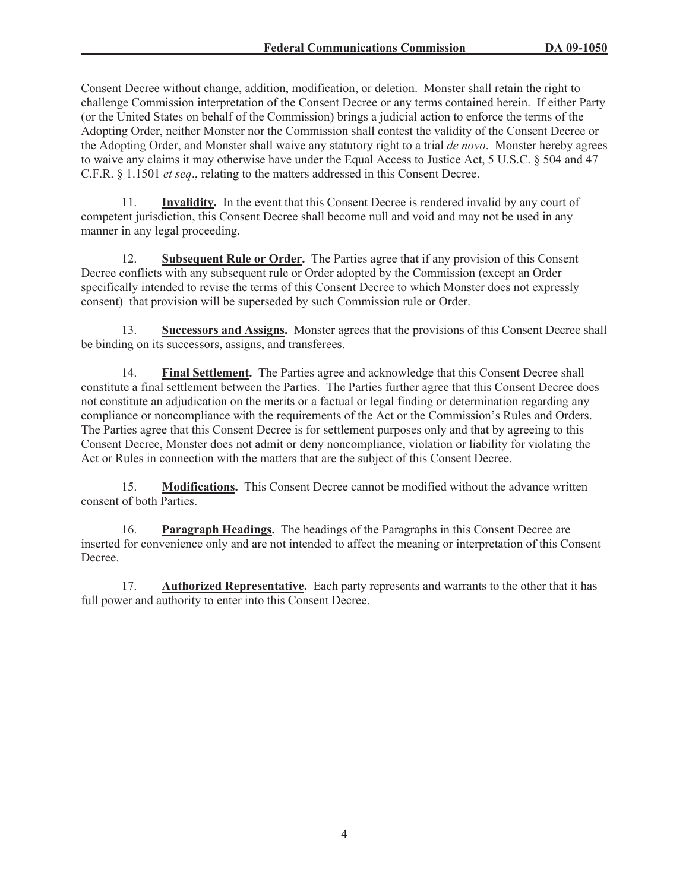Consent Decree without change, addition, modification, or deletion. Monster shall retain the right to challenge Commission interpretation of the Consent Decree or any terms contained herein. If either Party (or the United States on behalf of the Commission) brings a judicial action to enforce the terms of the Adopting Order, neither Monster nor the Commission shall contest the validity of the Consent Decree or the Adopting Order, and Monster shall waive any statutory right to a trial *de novo*. Monster hereby agrees to waive any claims it may otherwise have under the Equal Access to Justice Act, 5 U.S.C. § 504 and 47 C.F.R. § 1.1501 *et seq*., relating to the matters addressed in this Consent Decree.

11. **Invalidity.** In the event that this Consent Decree is rendered invalid by any court of competent jurisdiction, this Consent Decree shall become null and void and may not be used in any manner in any legal proceeding.

12. **Subsequent Rule or Order.** The Parties agree that if any provision of this Consent Decree conflicts with any subsequent rule or Order adopted by the Commission (except an Order specifically intended to revise the terms of this Consent Decree to which Monster does not expressly consent) that provision will be superseded by such Commission rule or Order.

**Successors and Assigns.** Monster agrees that the provisions of this Consent Decree shall be binding on its successors, assigns, and transferees.

14. **Final Settlement.** The Parties agree and acknowledge that this Consent Decree shall constitute a final settlement between the Parties. The Parties further agree that this Consent Decree does not constitute an adjudication on the merits or a factual or legal finding or determination regarding any compliance or noncompliance with the requirements of the Act or the Commission's Rules and Orders. The Parties agree that this Consent Decree is for settlement purposes only and that by agreeing to this Consent Decree, Monster does not admit or deny noncompliance, violation or liability for violating the Act or Rules in connection with the matters that are the subject of this Consent Decree.

15. **Modifications.** This Consent Decree cannot be modified without the advance written consent of both Parties.

16. **Paragraph Headings.** The headings of the Paragraphs in this Consent Decree are inserted for convenience only and are not intended to affect the meaning or interpretation of this Consent Decree.

17. **Authorized Representative.** Each party represents and warrants to the other that it has full power and authority to enter into this Consent Decree.